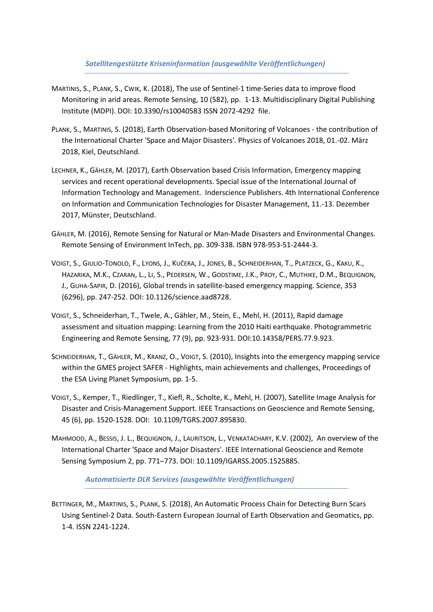## *Satellitengestützte Kriseninformation (ausgewählte Veröffentlichungen)*

- MARTINIS, S., PLANK, S., CWIK, K. (2018), The use of Sentinel-1 time-Series data to improve flood Monitoring in arid areas. Remote Sensing, 10 (582), pp. 1-13. Multidisciplinary Digital Publishing Institute (MDPI). DOI: 10.3390/rs10040583 ISSN 2072-4292 file.
- PLANK, S., MARTINIS, S. (2018), Earth Observation-based Monitoring of Volcanoes the contribution of the International Charter 'Space and Major Disasters'. Physics of Volcanoes 2018, 01.-02. März 2018, Kiel, Deutschland.
- LECHNER, K., GÄHLER, M. (2017), [Earth Observation based Crisis Information, Emergency mapping](https://elib.dlr.de/115378/)  [services and recent operational developments.](https://elib.dlr.de/115378/) Special issue of the International Journal of Information Technology and Management. Inderscience Publishers. 4th International Conference on Information and Communication Technologies for Disaster Management, 11.-13. Dezember 2017, Münster, Deutschland.
- GÄHLER, M. (2016), [Remote Sensing for Natural or Man-Made Disasters and Environmental Changes.](https://elib.dlr.de/104811/) Remote Sensing of Environment InTech, pp. 309-338. ISBN 978-953-51-2444-3.
- VOIGT, S., GIULIO-TONOLO, F., LYONS, J., KUČERA, J., JONES, B., SCHNEIDERHAN, T., PLATZECK, G., KAKU, K., HAZARIKA, M.K., CZARAN, L., LI, S., PEDERSEN, W., GODSTIME, J.K., PROY, C., MUTHIKE, D.M., BEQUIGNON, J., GUHA-SAPIR, D. (2016), Global trends in satellite-based emergency mapping. Science, 353 (6296), pp. 247-252. DOI: 10.1126/science.aad8728.
- VOIGT, S., Schneiderhan, T., Twele, A., Gähler, M., Stein, E., Mehl, H. (2011), Rapid damage assessment and situation mapping: Learning from the 2010 Haiti earthquake. Photogrammetric Engineering and Remote Sensing, 77 (9), pp. 923-931. DOI:10.14358/PERS.77.9.923.
- SCHNEIDERHAN, T., GÄHLER, M., KRANZ, O., VOIGT, S. (2010), Insights into the emergency mapping service within the GMES project SAFER - Highlights, main achievements and challenges, Proceedings of the ESA Living Planet Symposium, pp. 1-5.
- VOIGT, S., Kemper, T., Riedlinger, T., Kiefl, R., Scholte, K., Mehl, H. (2007), Satellite Image Analysis for Disaster and Crisis-Management Support. IEEE Transactions on Geoscience and Remote Sensing, 45 (6), pp. 1520-1528. DOI: 10.1109/TGRS.2007.895830.
- MAHMOOD, A., BESSIS, J. L., BEQUIGNON, J., LAURITSON, L., VENKATACHARY, K.V. (2002), An overview of the International Charter 'Space and Major Disasters'. IEEE International Geoscience and Remote Sensing Symposium 2, pp. 771–773. DOI: 10.1109/IGARSS.2005.1525885.

*Automatisierte DLR Services (ausgewählte Veröffentlichungen)*

BETTINGER, M., MARTINIS, S., PLANK, S. (2018), An Automatic Process Chain for Detecting Burn Scars Using Sentinel-2 Data. South-Eastern European Journal of Earth Observation and Geomatics, pp. 1-4. ISSN 2241-1224.